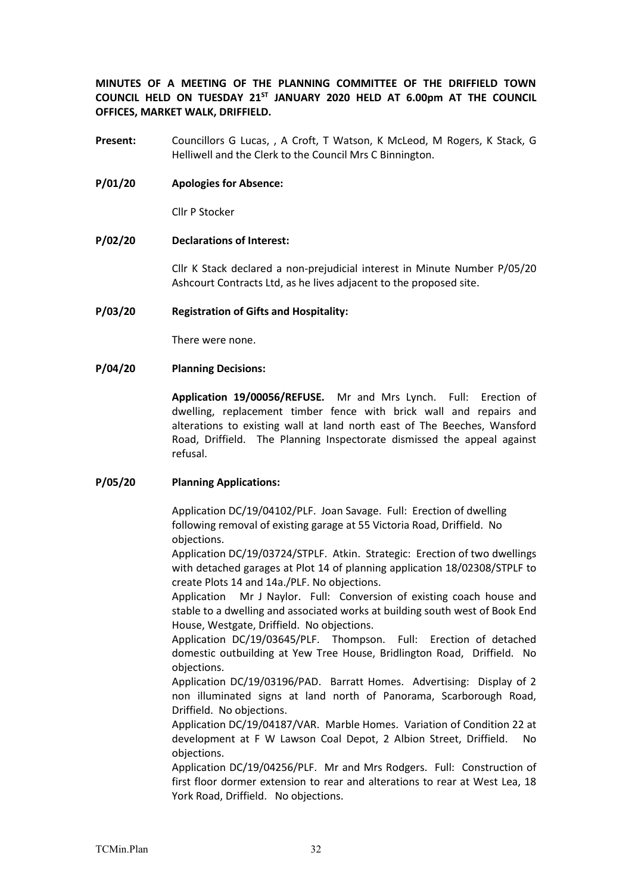**MINUTES OF A MEETING OF THE PLANNING COMMITTEE OF THE DRIFFIELD TOWN COUNCIL HELD ON TUESDAY 21ST JANUARY 2020 HELD AT 6.00pm AT THE COUNCIL OFFICES, MARKET WALK, DRIFFIELD.**

- **Present:** Councillors G Lucas, , A Croft, T Watson, K McLeod, M Rogers, K Stack, G Helliwell and the Clerk to the Council Mrs C Binnington.
- **P/01/20 Apologies for Absence:**

Cllr P Stocker

**P/02/20 Declarations of Interest:**

Cllr K Stack declared a non-prejudicial interest in Minute Number P/05/20 Ashcourt Contracts Ltd, as he lives adjacent to the proposed site.

## **P/03/20 Registration of Gifts and Hospitality:**

There were none.

## **P/04/20 Planning Decisions:**

**Application 19/00056/REFUSE.** Mr and Mrs Lynch. Full: Erection of dwelling, replacement timber fence with brick wall and repairs and alterations to existing wall at land north east of The Beeches, Wansford Road, Driffield. The Planning Inspectorate dismissed the appeal against refusal.

## **P/05/20 Planning Applications:**

Application DC/19/04102/PLF. Joan Savage. Full: Erection of dwelling following removal of existing garage at 55 Victoria Road, Driffield. No objections.

Application DC/19/03724/STPLF. Atkin. Strategic: Erection of two dwellings with detached garages at Plot 14 of planning application 18/02308/STPLF to create Plots 14 and 14a./PLF. No objections.

Application Mr J Naylor. Full: Conversion of existing coach house and stable to a dwelling and associated works at building south west of Book End House, Westgate, Driffield. No objections.

Application DC/19/03645/PLF. Thompson. Full: Erection of detached domestic outbuilding at Yew Tree House, Bridlington Road, Driffield. No objections.

Application DC/19/03196/PAD. Barratt Homes. Advertising: Display of 2 non illuminated signs at land north of Panorama, Scarborough Road, Driffield. No objections.

Application DC/19/04187/VAR. Marble Homes. Variation of Condition 22 at development at F W Lawson Coal Depot, 2 Albion Street, Driffield. No objections.

Application DC/19/04256/PLF. Mr and Mrs Rodgers. Full: Construction of first floor dormer extension to rear and alterations to rear at West Lea, 18 York Road, Driffield. No objections.